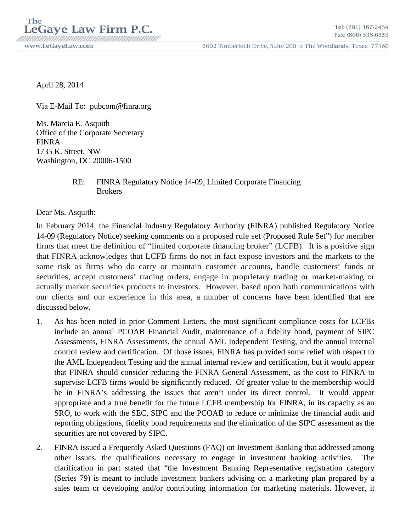www.LeGaveLaw.com

2002 Timberloch Drive, Suite 200 o The Woodlands, Texas 77380

April 28, 2014

Via E-Mail To: pubcom@finra.org

Ms. Marcia E. Asquith Office of the Corporate Secretary FINRA 1735 K. Street, NW Washington, DC 20006-1500

## RE: FINRA Regulatory Notice 14-09, Limited Corporate Financing **Brokers**

Dear Ms. Asquith:

In February 2014, the Financial Industry Regulatory Authority (FINRA) published Regulatory Notice 14-09 (Regulatory Notice) seeking comments on a proposed rule set (Proposed Rule Set") for member firms that meet the definition of "limited corporate financing broker" (LCFB). It is a positive sign that FINRA acknowledges that LCFB firms do not in fact expose investors and the markets to the same risk as firms who do carry or maintain customer accounts, handle customers' funds or securities, accept customers' trading orders, engage in proprietary trading or market-making or actually market securities products to investors. However, based upon both communications with our clients and our experience in this area, a number of concerns have been identified that are discussed below.

- 1. As has been noted in prior Comment Letters, the most significant compliance costs for LCFBs include an annual PCOAB Financial Audit, maintenance of a fidelity bond, payment of SIPC Assessments, FINRA Assessments, the annual AML Independent Testing, and the annual internal control review and certification. Of those issues, FINRA has provided some relief with respect to the AML Independent Testing and the annual internal review and certification, but it would appear that FINRA should consider reducing the FINRA General Assessment, as the cost to FINRA to supervise LCFB firms would be significantly reduced. Of greater value to the membership would be in FINRA's addressing the issues that aren't under its direct control. It would appear appropriate and a true benefit for the future LCFB membership for FINRA, in its capacity as an SRO, to work with the SEC, SIPC and the PCOAB to reduce or minimize the financial audit and reporting obligations, fidelity bond requirements and the elimination of the SIPC assessment as the securities are not covered by SIPC.
- 2. FINRA issued a Frequently Asked Questions (FAQ) on Investment Banking that addressed among other issues, the qualifications necessary to engage in investment banking activities. The clarification in part stated that "the Investment Banking Representative registration category (Series 79) is meant to include investment bankers advising on a marketing plan prepared by a sales team or developing and/or contributing information for marketing materials. However, it